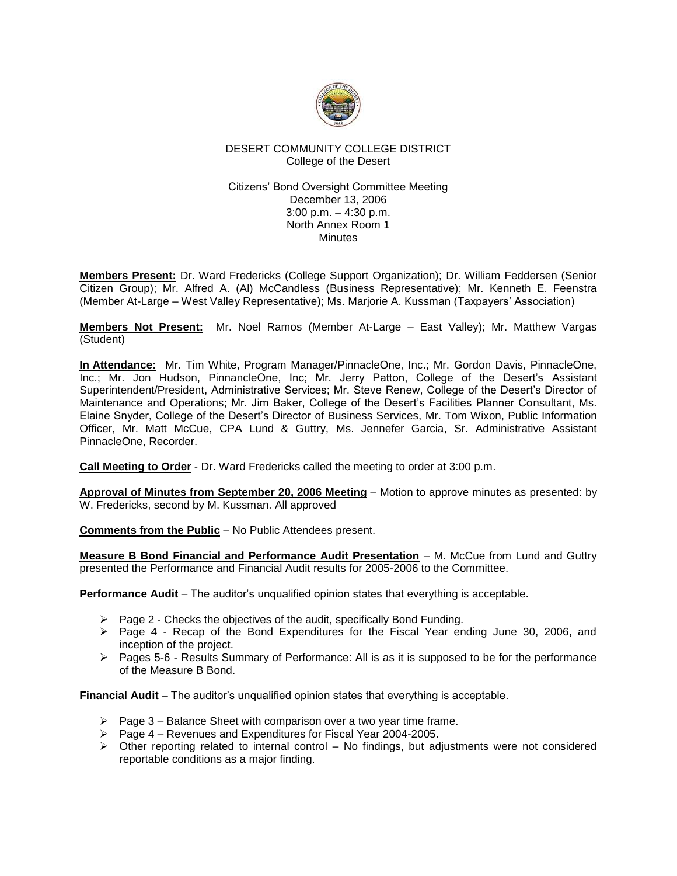

# DESERT COMMUNITY COLLEGE DISTRICT College of the Desert

## Citizens' Bond Oversight Committee Meeting December 13, 2006 3:00 p.m. – 4:30 p.m. North Annex Room 1 **Minutes**

**Members Present:** Dr. Ward Fredericks (College Support Organization); Dr. William Feddersen (Senior Citizen Group); Mr. Alfred A. (Al) McCandless (Business Representative); Mr. Kenneth E. Feenstra (Member At-Large – West Valley Representative); Ms. Marjorie A. Kussman (Taxpayers' Association)

**Members Not Present:** Mr. Noel Ramos (Member At-Large – East Valley); Mr. Matthew Vargas (Student)

**In Attendance:** Mr. Tim White, Program Manager/PinnacleOne, Inc.; Mr. Gordon Davis, PinnacleOne, Inc.; Mr. Jon Hudson, PinnancleOne, Inc; Mr. Jerry Patton, College of the Desert's Assistant Superintendent/President, Administrative Services; Mr. Steve Renew, College of the Desert's Director of Maintenance and Operations; Mr. Jim Baker, College of the Desert's Facilities Planner Consultant, Ms. Elaine Snyder, College of the Desert's Director of Business Services, Mr. Tom Wixon, Public Information Officer, Mr. Matt McCue, CPA Lund & Guttry, Ms. Jennefer Garcia, Sr. Administrative Assistant PinnacleOne, Recorder.

**Call Meeting to Order** - Dr. Ward Fredericks called the meeting to order at 3:00 p.m.

**Approval of Minutes from September 20, 2006 Meeting** – Motion to approve minutes as presented: by W. Fredericks, second by M. Kussman. All approved

**Comments from the Public** – No Public Attendees present.

**Measure B Bond Financial and Performance Audit Presentation** – M. McCue from Lund and Guttry presented the Performance and Financial Audit results for 2005-2006 to the Committee.

**Performance Audit** – The auditor's unqualified opinion states that everything is acceptable.

- ➢ Page 2 Checks the objectives of the audit, specifically Bond Funding.
- ➢ Page 4 Recap of the Bond Expenditures for the Fiscal Year ending June 30, 2006, and inception of the project.
- ➢ Pages 5-6 Results Summary of Performance: All is as it is supposed to be for the performance of the Measure B Bond.

**Financial Audit** – The auditor's unqualified opinion states that everything is acceptable.

- $\triangleright$  Page 3 Balance Sheet with comparison over a two year time frame.
- ➢ Page 4 Revenues and Expenditures for Fiscal Year 2004-2005.
- $\triangleright$  Other reporting related to internal control No findings, but adjustments were not considered reportable conditions as a major finding.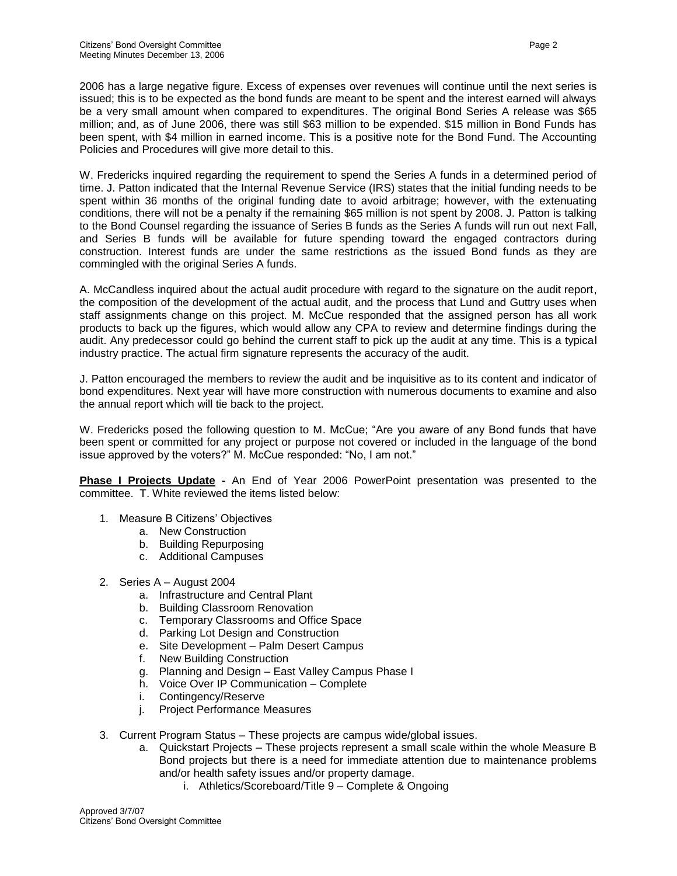2006 has a large negative figure. Excess of expenses over revenues will continue until the next series is issued; this is to be expected as the bond funds are meant to be spent and the interest earned will always be a very small amount when compared to expenditures. The original Bond Series A release was \$65 million; and, as of June 2006, there was still \$63 million to be expended. \$15 million in Bond Funds has been spent, with \$4 million in earned income. This is a positive note for the Bond Fund. The Accounting Policies and Procedures will give more detail to this.

W. Fredericks inquired regarding the requirement to spend the Series A funds in a determined period of time. J. Patton indicated that the Internal Revenue Service (IRS) states that the initial funding needs to be spent within 36 months of the original funding date to avoid arbitrage; however, with the extenuating conditions, there will not be a penalty if the remaining \$65 million is not spent by 2008. J. Patton is talking to the Bond Counsel regarding the issuance of Series B funds as the Series A funds will run out next Fall, and Series B funds will be available for future spending toward the engaged contractors during construction. Interest funds are under the same restrictions as the issued Bond funds as they are commingled with the original Series A funds.

A. McCandless inquired about the actual audit procedure with regard to the signature on the audit report, the composition of the development of the actual audit, and the process that Lund and Guttry uses when staff assignments change on this project. M. McCue responded that the assigned person has all work products to back up the figures, which would allow any CPA to review and determine findings during the audit. Any predecessor could go behind the current staff to pick up the audit at any time. This is a typical industry practice. The actual firm signature represents the accuracy of the audit.

J. Patton encouraged the members to review the audit and be inquisitive as to its content and indicator of bond expenditures. Next year will have more construction with numerous documents to examine and also the annual report which will tie back to the project.

W. Fredericks posed the following question to M. McCue; "Are you aware of any Bond funds that have been spent or committed for any project or purpose not covered or included in the language of the bond issue approved by the voters?" M. McCue responded: "No, I am not."

**Phase I Projects Update** - An End of Year 2006 PowerPoint presentation was presented to the committee. T. White reviewed the items listed below:

- 1. Measure B Citizens' Objectives
	- a. New Construction
	- b. Building Repurposing
	- c. Additional Campuses
- 2. Series A August 2004
	- a. Infrastructure and Central Plant
	- b. Building Classroom Renovation
	- c. Temporary Classrooms and Office Space
	- d. Parking Lot Design and Construction
	- e. Site Development Palm Desert Campus
	- f. New Building Construction
	- g. Planning and Design East Valley Campus Phase I
	- h. Voice Over IP Communication Complete
	- i. Contingency/Reserve
	- j. Project Performance Measures
- 3. Current Program Status These projects are campus wide/global issues.
	- a. Quickstart Projects These projects represent a small scale within the whole Measure B Bond projects but there is a need for immediate attention due to maintenance problems and/or health safety issues and/or property damage.
		- i. Athletics/Scoreboard/Title 9 Complete & Ongoing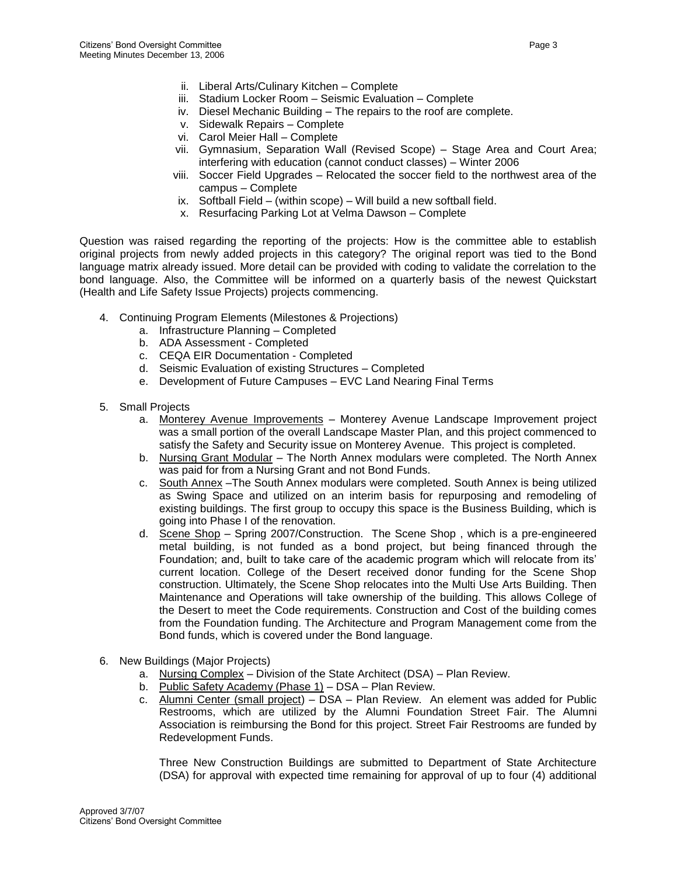- ii. Liberal Arts/Culinary Kitchen Complete
- iii. Stadium Locker Room Seismic Evaluation Complete
- iv. Diesel Mechanic Building The repairs to the roof are complete.
- v. Sidewalk Repairs Complete
- vi. Carol Meier Hall Complete
- vii. Gymnasium, Separation Wall (Revised Scope) Stage Area and Court Area; interfering with education (cannot conduct classes) – Winter 2006
- viii. Soccer Field Upgrades Relocated the soccer field to the northwest area of the campus – Complete
- ix. Softball Field (within scope) Will build a new softball field.
- x. Resurfacing Parking Lot at Velma Dawson Complete

Question was raised regarding the reporting of the projects: How is the committee able to establish original projects from newly added projects in this category? The original report was tied to the Bond language matrix already issued. More detail can be provided with coding to validate the correlation to the bond language. Also, the Committee will be informed on a quarterly basis of the newest Quickstart (Health and Life Safety Issue Projects) projects commencing.

- 4. Continuing Program Elements (Milestones & Projections)
	- a. Infrastructure Planning Completed
	- b. ADA Assessment Completed
	- c. CEQA EIR Documentation Completed
	- d. Seismic Evaluation of existing Structures Completed
	- e. Development of Future Campuses EVC Land Nearing Final Terms
- 5. Small Projects
	- a. Monterey Avenue Improvements Monterey Avenue Landscape Improvement project was a small portion of the overall Landscape Master Plan, and this project commenced to satisfy the Safety and Security issue on Monterey Avenue. This project is completed.
	- b. Nursing Grant Modular The North Annex modulars were completed. The North Annex was paid for from a Nursing Grant and not Bond Funds.
	- c. South Annex –The South Annex modulars were completed. South Annex is being utilized as Swing Space and utilized on an interim basis for repurposing and remodeling of existing buildings. The first group to occupy this space is the Business Building, which is going into Phase I of the renovation.
	- d. Scene Shop Spring 2007/Construction. The Scene Shop , which is a pre-engineered metal building, is not funded as a bond project, but being financed through the Foundation; and, built to take care of the academic program which will relocate from its' current location. College of the Desert received donor funding for the Scene Shop construction. Ultimately, the Scene Shop relocates into the Multi Use Arts Building. Then Maintenance and Operations will take ownership of the building. This allows College of the Desert to meet the Code requirements. Construction and Cost of the building comes from the Foundation funding. The Architecture and Program Management come from the Bond funds, which is covered under the Bond language.
- 6. New Buildings (Major Projects)
	- a. Nursing Complex Division of the State Architect (DSA) Plan Review.
	- b. Public Safety Academy (Phase 1) DSA Plan Review.
	- c. Alumni Center (small project) DSA Plan Review. An element was added for Public Restrooms, which are utilized by the Alumni Foundation Street Fair. The Alumni Association is reimbursing the Bond for this project. Street Fair Restrooms are funded by Redevelopment Funds.

Three New Construction Buildings are submitted to Department of State Architecture (DSA) for approval with expected time remaining for approval of up to four (4) additional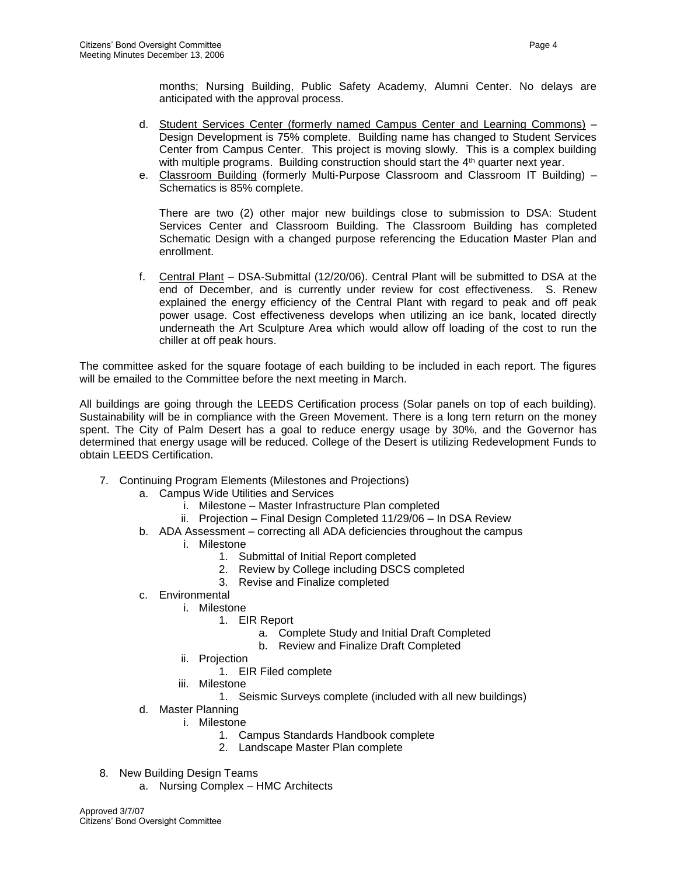months; Nursing Building, Public Safety Academy, Alumni Center. No delays are anticipated with the approval process.

- d. Student Services Center (formerly named Campus Center and Learning Commons) Design Development is 75% complete. Building name has changed to Student Services Center from Campus Center. This project is moving slowly. This is a complex building with multiple programs. Building construction should start the  $4<sup>th</sup>$  quarter next year.
- e. Classroom Building (formerly Multi-Purpose Classroom and Classroom IT Building) -Schematics is 85% complete.

There are two (2) other major new buildings close to submission to DSA: Student Services Center and Classroom Building. The Classroom Building has completed Schematic Design with a changed purpose referencing the Education Master Plan and enrollment.

f. Central Plant – DSA-Submittal (12/20/06). Central Plant will be submitted to DSA at the end of December, and is currently under review for cost effectiveness. S. Renew explained the energy efficiency of the Central Plant with regard to peak and off peak power usage. Cost effectiveness develops when utilizing an ice bank, located directly underneath the Art Sculpture Area which would allow off loading of the cost to run the chiller at off peak hours.

The committee asked for the square footage of each building to be included in each report. The figures will be emailed to the Committee before the next meeting in March.

All buildings are going through the LEEDS Certification process (Solar panels on top of each building). Sustainability will be in compliance with the Green Movement. There is a long tern return on the money spent. The City of Palm Desert has a goal to reduce energy usage by 30%, and the Governor has determined that energy usage will be reduced. College of the Desert is utilizing Redevelopment Funds to obtain LEEDS Certification.

- 7. Continuing Program Elements (Milestones and Projections)
	- a. Campus Wide Utilities and Services
		- i. Milestone Master Infrastructure Plan completed
		- ii. Projection Final Design Completed 11/29/06 In DSA Review
	- b. ADA Assessment correcting all ADA deficiencies throughout the campus
		- i. Milestone
			- 1. Submittal of Initial Report completed
			- 2. Review by College including DSCS completed
			- 3. Revise and Finalize completed
	- c. Environmental
		- i. Milestone
			- 1. EIR Report
				- a. Complete Study and Initial Draft Completed
				- b. Review and Finalize Draft Completed
		- ii. Projection
			- 1. EIR Filed complete
		- iii. Milestone
			- 1. Seismic Surveys complete (included with all new buildings)
	- d. Master Planning
		- i. Milestone
			- 1. Campus Standards Handbook complete
			- 2. Landscape Master Plan complete
- 8. New Building Design Teams
	- a. Nursing Complex HMC Architects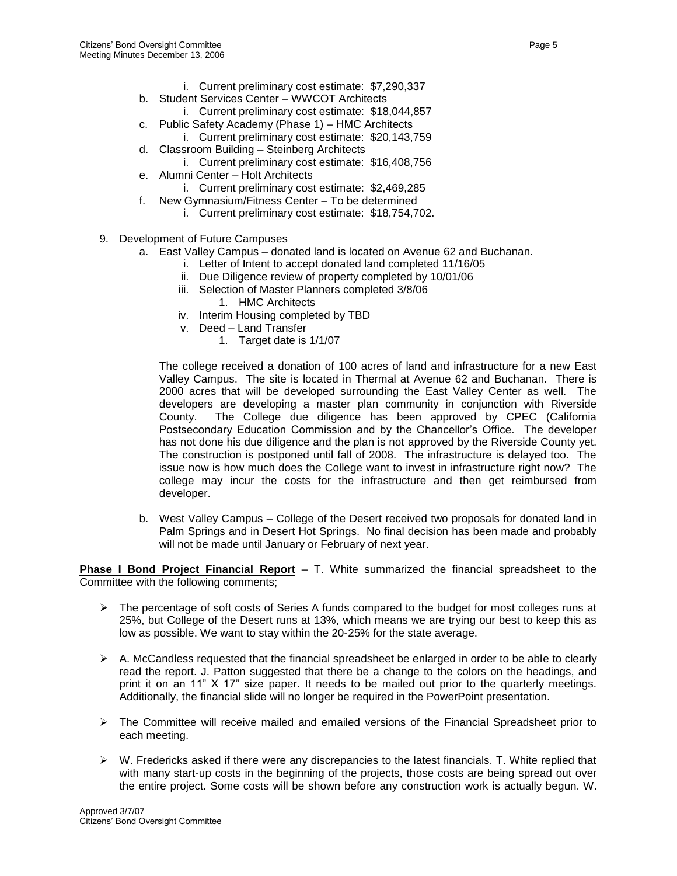- i. Current preliminary cost estimate: \$7,290,337
- b. Student Services Center WWCOT Architects
	- i. Current preliminary cost estimate: \$18,044,857
- c. Public Safety Academy (Phase 1) HMC Architects
- i. Current preliminary cost estimate: \$20,143,759 d. Classroom Building – Steinberg Architects
- i. Current preliminary cost estimate: \$16,408,756
- e. Alumni Center Holt Architects
	- i. Current preliminary cost estimate: \$2,469,285
- f. New Gymnasium/Fitness Center To be determined
	- i. Current preliminary cost estimate: \$18,754,702.
- 9. Development of Future Campuses
	- a. East Valley Campus donated land is located on Avenue 62 and Buchanan.
		- i. Letter of Intent to accept donated land completed 11/16/05
		- ii. Due Diligence review of property completed by 10/01/06
		- iii. Selection of Master Planners completed 3/8/06
			- 1. HMC Architects
		- iv. Interim Housing completed by TBD
		- v. Deed Land Transfer
			- 1. Target date is 1/1/07

The college received a donation of 100 acres of land and infrastructure for a new East Valley Campus. The site is located in Thermal at Avenue 62 and Buchanan. There is 2000 acres that will be developed surrounding the East Valley Center as well. The developers are developing a master plan community in conjunction with Riverside County. The College due diligence has been approved by CPEC (California Postsecondary Education Commission and by the Chancellor's Office. The developer has not done his due diligence and the plan is not approved by the Riverside County yet. The construction is postponed until fall of 2008. The infrastructure is delayed too. The issue now is how much does the College want to invest in infrastructure right now? The college may incur the costs for the infrastructure and then get reimbursed from developer.

b. West Valley Campus – College of the Desert received two proposals for donated land in Palm Springs and in Desert Hot Springs. No final decision has been made and probably will not be made until January or February of next year.

**Phase I Bond Project Financial Report** – T. White summarized the financial spreadsheet to the Committee with the following comments;

- $\triangleright$  The percentage of soft costs of Series A funds compared to the budget for most colleges runs at 25%, but College of the Desert runs at 13%, which means we are trying our best to keep this as low as possible. We want to stay within the 20-25% for the state average.
- $\triangleright$  A. McCandless requested that the financial spreadsheet be enlarged in order to be able to clearly read the report. J. Patton suggested that there be a change to the colors on the headings, and print it on an 11" X 17" size paper. It needs to be mailed out prior to the quarterly meetings. Additionally, the financial slide will no longer be required in the PowerPoint presentation.
- ➢ The Committee will receive mailed and emailed versions of the Financial Spreadsheet prior to each meeting.
- $\triangleright$  W. Fredericks asked if there were any discrepancies to the latest financials. T. White replied that with many start-up costs in the beginning of the projects, those costs are being spread out over the entire project. Some costs will be shown before any construction work is actually begun. W.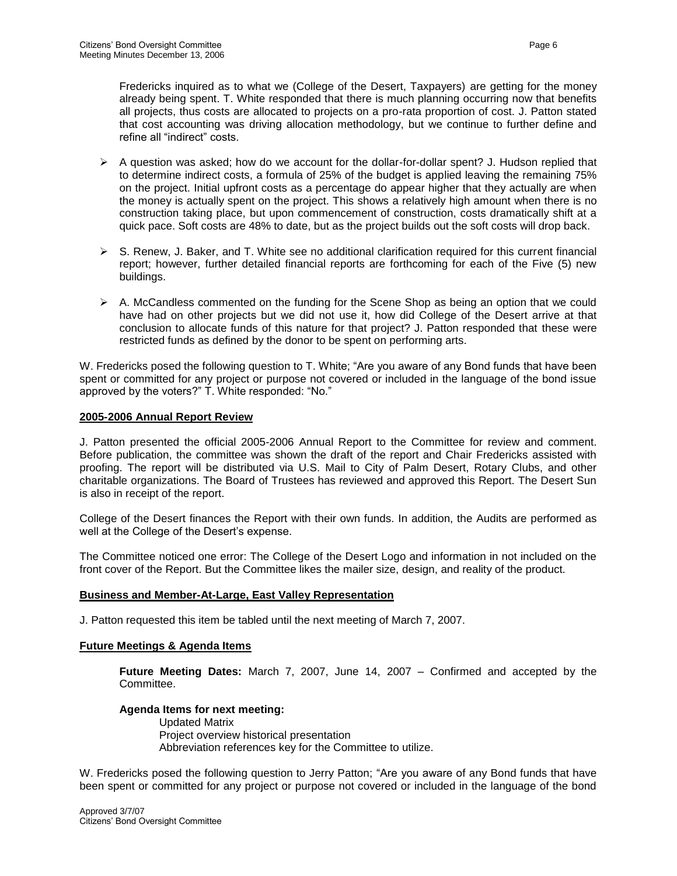Fredericks inquired as to what we (College of the Desert, Taxpayers) are getting for the money already being spent. T. White responded that there is much planning occurring now that benefits all projects, thus costs are allocated to projects on a pro-rata proportion of cost. J. Patton stated that cost accounting was driving allocation methodology, but we continue to further define and refine all "indirect" costs.

- $\triangleright$  A question was asked; how do we account for the dollar-for-dollar spent? J. Hudson replied that to determine indirect costs, a formula of 25% of the budget is applied leaving the remaining 75% on the project. Initial upfront costs as a percentage do appear higher that they actually are when the money is actually spent on the project. This shows a relatively high amount when there is no construction taking place, but upon commencement of construction, costs dramatically shift at a quick pace. Soft costs are 48% to date, but as the project builds out the soft costs will drop back.
- $\triangleright$  S. Renew, J. Baker, and T. White see no additional clarification required for this current financial report; however, further detailed financial reports are forthcoming for each of the Five (5) new buildings.
- $\triangleright$  A. McCandless commented on the funding for the Scene Shop as being an option that we could have had on other projects but we did not use it, how did College of the Desert arrive at that conclusion to allocate funds of this nature for that project? J. Patton responded that these were restricted funds as defined by the donor to be spent on performing arts.

W. Fredericks posed the following question to T. White; "Are you aware of any Bond funds that have been spent or committed for any project or purpose not covered or included in the language of the bond issue approved by the voters?" T. White responded: "No."

## **2005-2006 Annual Report Review**

J. Patton presented the official 2005-2006 Annual Report to the Committee for review and comment. Before publication, the committee was shown the draft of the report and Chair Fredericks assisted with proofing. The report will be distributed via U.S. Mail to City of Palm Desert, Rotary Clubs, and other charitable organizations. The Board of Trustees has reviewed and approved this Report. The Desert Sun is also in receipt of the report.

College of the Desert finances the Report with their own funds. In addition, the Audits are performed as well at the College of the Desert's expense.

The Committee noticed one error: The College of the Desert Logo and information in not included on the front cover of the Report. But the Committee likes the mailer size, design, and reality of the product.

#### **Business and Member-At-Large, East Valley Representation**

J. Patton requested this item be tabled until the next meeting of March 7, 2007.

## **Future Meetings & Agenda Items**

**Future Meeting Dates:** March 7, 2007, June 14, 2007 – Confirmed and accepted by the **Committee.** 

## **Agenda Items for next meeting:**

Updated Matrix Project overview historical presentation Abbreviation references key for the Committee to utilize.

W. Fredericks posed the following question to Jerry Patton; "Are you aware of any Bond funds that have been spent or committed for any project or purpose not covered or included in the language of the bond